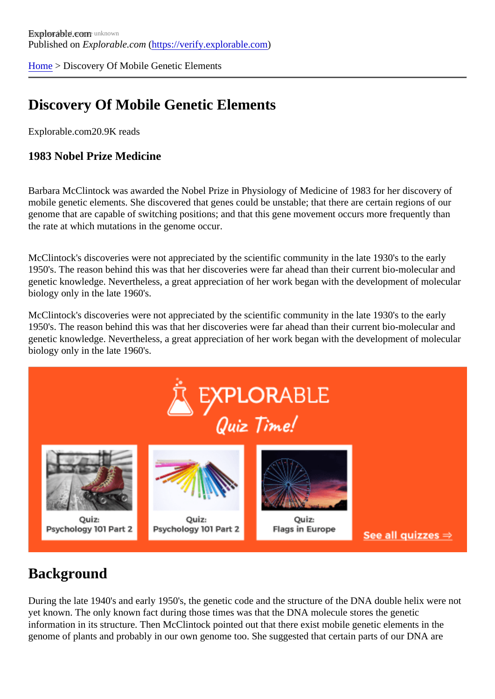[Home](https://verify.explorable.com/) > Discovery Of Mobile Genetic Elements

## Discovery Of Mobile Genetic Elements

Explorable.com20.9K reads

1983 Nobel Prize Medicine

Barbara McClintock was awarded the Nobel Prize in Physiology of Medicine of 1983 for her discovery of mobile genetic elements. She discovered that genes could be unstable; that there are certain regions of o genome that are capable of switching positions; and that this gene movement occurs more frequently than the rate at which mutations in the genome occur.

McClintock's discoveries were not appreciated by the scientific community in the late 1930's to the early 1950's. The reason behind this was that her discoveries were far ahead than their current bio-molecular and genetic knowledge. Nevertheless, a great appreciation of her work began with the development of molecu biology only in the late 1960's.

McClintock's discoveries were not appreciated by the scientific community in the late 1930's to the early 1950's. The reason behind this was that her discoveries were far ahead than their current bio-molecular and genetic knowledge. Nevertheless, a great appreciation of her work began with the development of molecu biology only in the late 1960's.

#### **Background**

During the late 1940's and early 1950's, the genetic code and the structure of the DNA double helix were rotal yet known. The only known fact during those times was that the DNA molecule stores the genetic information in its structure. Then McClintock pointed out that there exist mobile genetic elements in the genome of plants and probably in our own genome too. She suggested that certain parts of our DNA are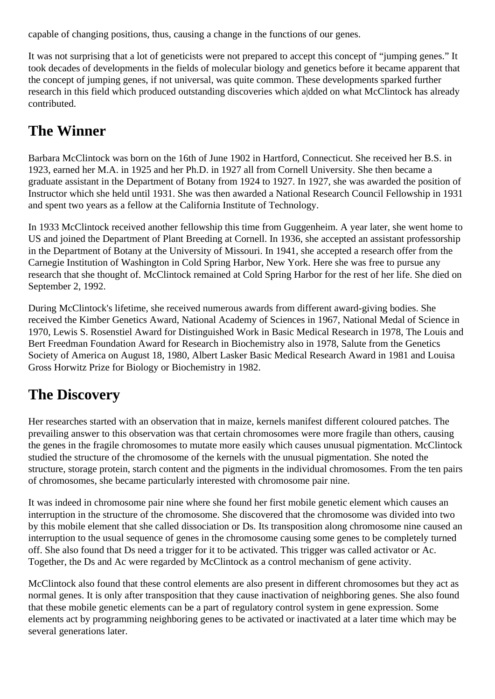capable of changing positions, thus, causing a change in the functions of our genes.

It was not surprising that a lot of geneticists were not prepared to accept this concept of "jumping genes." It took decades of developments in the fields of molecular biology and genetics before it became apparent that the concept of jumping genes, if not universal, was quite common. These developments sparked further research in this field which produced outstanding discoveries which a|dded on what McClintock has already contributed.

## **The Winner**

Barbara McClintock was born on the 16th of June 1902 in Hartford, Connecticut. She received her B.S. in 1923, earned her M.A. in 1925 and her Ph.D. in 1927 all from Cornell University. She then became a graduate assistant in the Department of Botany from 1924 to 1927. In 1927, she was awarded the position of Instructor which she held until 1931. She was then awarded a National Research Council Fellowship in 1931 and spent two years as a fellow at the California Institute of Technology.

In 1933 McClintock received another fellowship this time from Guggenheim. A year later, she went home to US and joined the Department of Plant Breeding at Cornell. In 1936, she accepted an assistant professorship in the Department of Botany at the University of Missouri. In 1941, she accepted a research offer from the Carnegie Institution of Washington in Cold Spring Harbor, New York. Here she was free to pursue any research that she thought of. McClintock remained at Cold Spring Harbor for the rest of her life. She died on September 2, 1992.

During McClintock's lifetime, she received numerous awards from different award-giving bodies. She received the Kimber Genetics Award, National Academy of Sciences in 1967, National Medal of Science in 1970, Lewis S. Rosenstiel Award for Distinguished Work in Basic Medical Research in 1978, The Louis and Bert Freedman Foundation Award for Research in Biochemistry also in 1978, Salute from the Genetics Society of America on August 18, 1980, Albert Lasker Basic Medical Research Award in 1981 and Louisa Gross Horwitz Prize for Biology or Biochemistry in 1982.

### **The Discovery**

Her researches started with an observation that in maize, kernels manifest different coloured patches. The prevailing answer to this observation was that certain chromosomes were more fragile than others, causing the genes in the fragile chromosomes to mutate more easily which causes unusual pigmentation. McClintock studied the structure of the chromosome of the kernels with the unusual pigmentation. She noted the structure, storage protein, starch content and the pigments in the individual chromosomes. From the ten pairs of chromosomes, she became particularly interested with chromosome pair nine.

It was indeed in chromosome pair nine where she found her first mobile genetic element which causes an interruption in the structure of the chromosome. She discovered that the chromosome was divided into two by this mobile element that she called dissociation or Ds. Its transposition along chromosome nine caused an interruption to the usual sequence of genes in the chromosome causing some genes to be completely turned off. She also found that Ds need a trigger for it to be activated. This trigger was called activator or Ac. Together, the Ds and Ac were regarded by McClintock as a control mechanism of gene activity.

McClintock also found that these control elements are also present in different chromosomes but they act as normal genes. It is only after transposition that they cause inactivation of neighboring genes. She also found that these mobile genetic elements can be a part of regulatory control system in gene expression. Some elements act by programming neighboring genes to be activated or inactivated at a later time which may be several generations later.